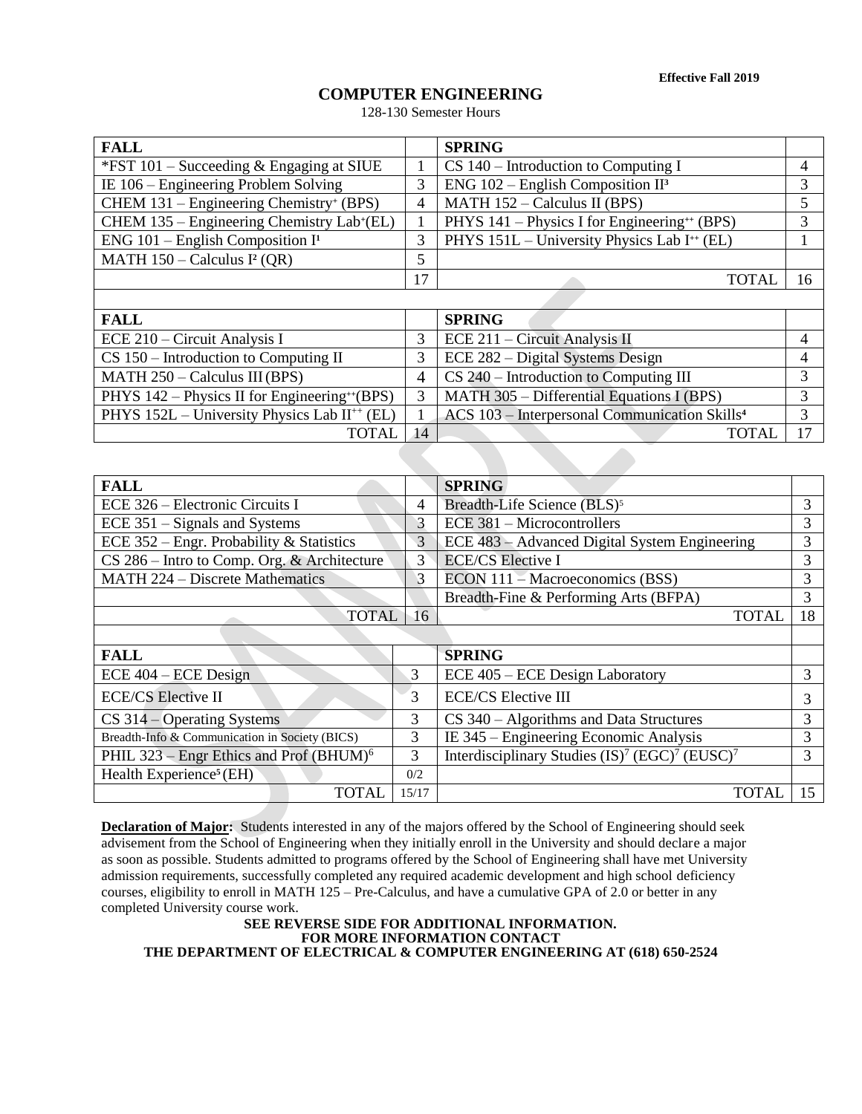**Effective Fall 2019**

# **COMPUTER ENGINEERING**

128-130 Semester Hours

| <b>FALL</b>                                               |               | <b>SPRING</b>                                             |                |
|-----------------------------------------------------------|---------------|-----------------------------------------------------------|----------------|
| *FST $101$ – Succeeding & Engaging at SIUE                |               | $CS$ 140 – Introduction to Computing I                    | 4              |
| IE 106 – Engineering Problem Solving                      | 3             | ENG $102$ – English Composition II <sup>3</sup>           | 3              |
| CHEM 131 – Engineering Chemistry+ (BPS)                   | 4             | MATH 152 - Calculus II (BPS)                              | 5              |
| CHEM 135 - Engineering Chemistry Lab+(EL)                 |               | PHYS 141 - Physics I for Engineering <sup>++</sup> (BPS)  | 3              |
| ENG $101$ – English Composition I <sup>1</sup>            | 3             | PHYS 151L - University Physics Lab I <sup>++</sup> (EL)   |                |
| MATH $150 -$ Calculus I <sup>2</sup> (QR)                 | 5             |                                                           |                |
|                                                           | 17            | <b>TOTAL</b>                                              | 16             |
|                                                           |               |                                                           |                |
| <b>FALL</b>                                               |               | <b>SPRING</b>                                             |                |
| ECE 210 – Circuit Analysis I                              | 3             | ECE 211 – Circuit Analysis II                             | 4              |
| $CS 150$ – Introduction to Computing II                   | 3             | ECE 282 – Digital Systems Design                          | 4              |
| $MATH 250 - Calculus III (BPS)$                           | 4             | $CS$ 240 – Introduction to Computing III                  | 3              |
| PHYS 142 – Physics II for Engineering <sup>++</sup> (BPS) | 3             | MATH 305 - Differential Equations I (BPS)                 | 3              |
| PHYS 152L - University Physics Lab II <sup>++</sup> (EL)  |               | ACS 103 - Interpersonal Communication Skills <sup>4</sup> | 3              |
| <b>TOTAL</b>                                              | 14            | <b>TOTAL</b>                                              | 17             |
|                                                           |               |                                                           |                |
| <b>FALL</b>                                               |               | <b>SPRING</b>                                             |                |
| ECE 326 – Electronic Circuits I                           | 4             | Breadth-Life Science (BLS) <sup>5</sup>                   | 3              |
| ECE 351 – Signals and Systems                             | 3             | <b>ECE 381 – Microcontrollers</b>                         | 3              |
| ECE 352 – Engr. Probability & Statistics                  | 3             | ECE 483 – Advanced Digital System Engineering             | 3              |
| $CS$ 286 – Intro to Comp Org & Architecture               | $\mathcal{L}$ | <b>ECE/CS Elective I</b>                                  | $\overline{3}$ |

| $CS$ 286 – Intro to Comp. Org. & Architecture       | 3     | <b>ECE/CS</b> Elective I                                                           | 3  |  |  |
|-----------------------------------------------------|-------|------------------------------------------------------------------------------------|----|--|--|
| MATH 224 - Discrete Mathematics                     | 3     | $ECON$ 111 – Macroeconomics (BSS)                                                  |    |  |  |
|                                                     |       | Breadth-Fine & Performing Arts (BFPA)                                              | 3  |  |  |
| <b>TOTAL</b>                                        | 16    | <b>TOTAL</b>                                                                       | 18 |  |  |
|                                                     |       |                                                                                    |    |  |  |
| <b>FALL</b>                                         |       | <b>SPRING</b>                                                                      |    |  |  |
| $ECE$ 404 – $ECE$ Design                            | 3     | ECE 405 – ECE Design Laboratory                                                    | 3  |  |  |
| <b>ECE/CS</b> Elective II                           | 3     | <b>ECE/CS Elective III</b>                                                         | 3  |  |  |
| $CS$ 314 – Operating Systems                        | 3     | $CS$ 340 – Algorithms and Data Structures                                          | 3  |  |  |
| Breadth-Info & Communication in Society (BICS)      | 3     | IE 345 – Engineering Economic Analysis                                             | 3  |  |  |
| PHIL 323 - Engr Ethics and Prof (BHUM) <sup>6</sup> | 3     | Interdisciplinary Studies (IS) <sup>7</sup> (EGC) <sup>7</sup> (EUSC) <sup>7</sup> | 3  |  |  |
| Health Experience <sup>5</sup> (EH)                 | 0/2   |                                                                                    |    |  |  |
| <b>TOTAL</b>                                        | 15/17 | <b>TOTA</b>                                                                        |    |  |  |

**Declaration of Major:** Students interested in any of the majors offered by the School of Engineering should seek advisement from the School of Engineering when they initially enroll in the University and should declare a major as soon as possible. Students admitted to programs offered by the School of Engineering shall have met University admission requirements, successfully completed any required academic development and high school deficiency courses, eligibility to enroll in MATH 125 – Pre-Calculus, and have a cumulative GPA of 2.0 or better in any completed University course work.

**SEE REVERSE SIDE FOR ADDITIONAL INFORMATION. FOR MORE INFORMATION CONTACT THE DEPARTMENT OF ELECTRICAL & COMPUTER ENGINEERING AT (618) 650-2524**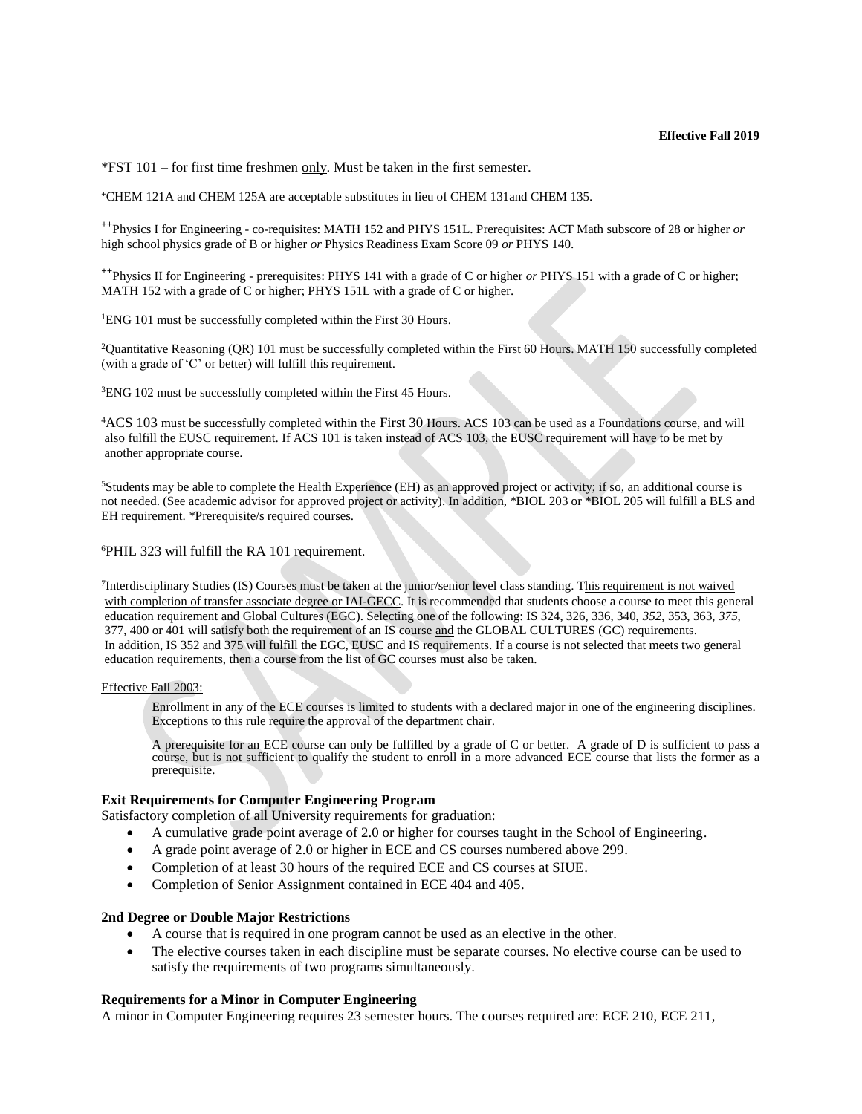\*FST 101 – for first time freshmen only. Must be taken in the first semester.

**<sup>+</sup>**CHEM 121A and CHEM 125A are acceptable substitutes in lieu of CHEM 131and CHEM 135.

**++**Physics I for Engineering - co-requisites: MATH 152 and PHYS 151L. Prerequisites: ACT Math subscore of 28 or higher *or* high school physics grade of B or higher *or* Physics Readiness Exam Score 09 *or* PHYS 140.

**++**Physics II for Engineering - prerequisites: PHYS 141 with a grade of C or higher *or* PHYS 151 with a grade of C or higher; MATH 152 with a grade of C or higher; PHYS 151L with a grade of C or higher.

<sup>1</sup>ENG 101 must be successfully completed within the First 30 Hours.

<sup>2</sup>Quantitative Reasoning (QR) 101 must be successfully completed within the First 60 Hours. MATH 150 successfully completed (with a grade of 'C' or better) will fulfill this requirement.

<sup>3</sup>ENG 102 must be successfully completed within the First 45 Hours.

<sup>4</sup>ACS 103 must be successfully completed within the First 30 Hours. ACS 103 can be used as a Foundations course, and will also fulfill the EUSC requirement. If ACS 101 is taken instead of ACS 103, the EUSC requirement will have to be met by another appropriate course.

<sup>5</sup>Students may be able to complete the Health Experience (EH) as an approved project or activity; if so, an additional course is not needed. (See academic advisor for approved project or activity). In addition, \*BIOL 203 or \*BIOL 205 will fulfill a BLS and EH requirement. \*Prerequisite/s required courses.

<sup>6</sup>PHIL 323 will fulfill the RA 101 requirement.

<sup>7</sup>Interdisciplinary Studies (IS) Courses must be taken at the junior/senior level class standing. This requirement is not waived with completion of transfer associate degree or IAI-GECC. It is recommended that students choose a course to meet this general education requirement and Global Cultures (EGC). Selecting one of the following: IS 324, 326, 336, 340, *352*, 353, 363, *375*, 377, 400 or 401 will satisfy both the requirement of an IS course and the GLOBAL CULTURES (GC) requirements. In addition, IS 352 and 375 will fulfill the EGC, EUSC and IS requirements. If a course is not selected that meets two general education requirements, then a course from the list of GC courses must also be taken.

#### Effective Fall 2003:

Enrollment in any of the ECE courses is limited to students with a declared major in one of the engineering disciplines. Exceptions to this rule require the approval of the department chair.

A prerequisite for an ECE course can only be fulfilled by a grade of C or better. A grade of D is sufficient to pass a course, but is not sufficient to qualify the student to enroll in a more advanced ECE course that lists the former as a prerequisite.

### **Exit Requirements for Computer Engineering Program**

Satisfactory completion of all University requirements for graduation:

- A cumulative grade point average of 2.0 or higher for courses taught in the School of Engineering.
- A grade point average of 2.0 or higher in ECE and CS courses numbered above 299.
- Completion of at least 30 hours of the required ECE and CS courses at SIUE.
- Completion of Senior Assignment contained in ECE 404 and 405.

#### **2nd Degree or Double Major Restrictions**

- A course that is required in one program cannot be used as an elective in the other.
- The elective courses taken in each discipline must be separate courses. No elective course can be used to satisfy the requirements of two programs simultaneously.

## **Requirements for a Minor in Computer Engineering**

A minor in Computer Engineering requires 23 semester hours. The courses required are: ECE 210, ECE 211,